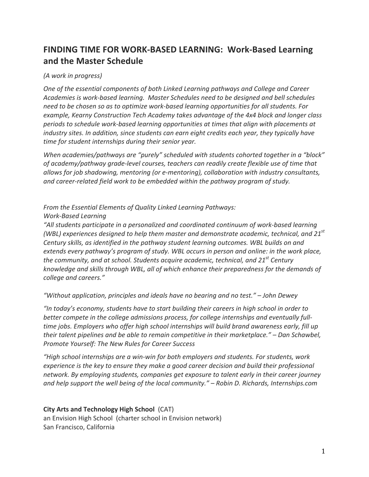# FINDING TIME FOR WORK-BASED LEARNING: Work-Based Learning **and&the&Master&Schedule&**

## *(A work in progress)*

One of the essential components of both Linked Learning pathways and College and Career Academies is work-based learning. Master Schedules need to be designed and bell schedules *need to be chosen so as to optimize work-based learning opportunities for all students. For example, Kearny Construction Tech Academy takes advantage of the 4x4 block and longer class* periods to schedule work-based learning opportunities at times that align with placements at *industry sites. In addition, since students can earn eight credits each year, they typically have time for student internships during their senior year.* 

*When academies/pathways are "purely" scheduled with students cohorted together in a "block"* of academy/pathway grade-level courses, teachers can readily create flexible use of time that allows for job shadowing, mentoring (or e-mentoring), collaboration with industry consultants, and career-related field work to be embedded within the pathway program of study.

# *From the Essential Elements of Quality Linked Learning Pathways:*

#### *Work<Based#Learning*

"All students participate in a personalized and coordinated continuum of work-based learning *(WBL) experiences designed to help them master and demonstrate academic, technical, and 21st Century skills, as identified in the pathway student learning outcomes. WBL builds on and extends every pathway's program of study. WBL occurs in person and online: in the work place, the community, and at school. Students acquire academic, technical, and 21<sup>st</sup> Century* knowledge and skills through WBL, all of which enhance their preparedness for the demands of college and careers."

*"Without#application,#principles#and#ideals#have#no#bearing#and#no#test."#– John#Dewey#*

"In today's economy, students have to start building their careers in high school in order to better compete in the college admissions process, for college internships and eventually full*time jobs. Employers who offer high school internships will build brand awareness early, fill up their talent pipelines and be able to remain competitive in their marketplace." – Dan Schawbel, Promote Yourself: The New Rules for Career Success* 

*"High school internships are a win-win for both employers and students. For students, work experience is the key to ensure they make a good career decision and build their professional* network. By employing students, companies get exposure to talent early in their career journey *and help support the well being of the local community." – Robin D. Richards, Internships.com* 

**City Arts and Technology High School (CAT)** an Envision High School (charter school in Envision network) San Francisco, California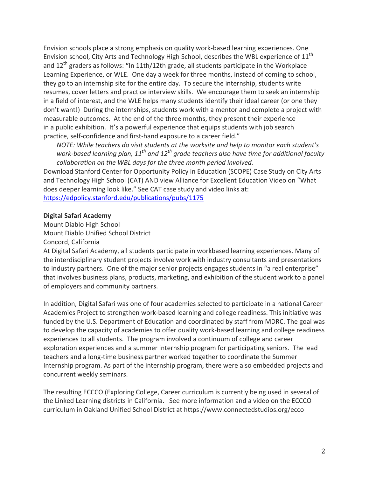Envision schools place a strong emphasis on quality work-based learning experiences. One Envision school, City Arts and Technology High School, describes the WBL experience of  $11<sup>th</sup>$ and 12<sup>th</sup> graders as follows: "In 11th/12th grade, all students participate in the Workplace Learning Experience, or WLE. One day a week for three months, instead of coming to school, they go to an internship site for the entire day. To secure the internship, students write resumes, cover letters and practice interview skills. We encourage them to seek an internship in a field of interest, and the WLE helps many students identify their ideal career (or one they don't want!) During the internships, students work with a mentor and complete a project with measurable outcomes. At the end of the three months, they present their experience in a public exhibition. It's a powerful experience that equips students with job search practice, self-confidence and first-hand exposure to a career field."

*NOTE: While teachers do visit students at the worksite and help to monitor each student's work-based learning plan, 11<sup>th</sup> and 12<sup>th</sup> grade teachers also have time for additional faculty* collaboration on the WBL days for the three month period involved.

Download Stanford Center for Opportunity Policy in Education (SCOPE) Case Study on City Arts and Technology High School (CAT) AND view Alliance for Excellent Education Video on "What does deeper learning look like." See CAT case study and video links at: https://edpolicy.stanford.edu/publications/pubs/1175

#### **Digital Safari Academy**

Mount Diablo High School Mount Diablo Unified School District Concord, California

At Digital Safari Academy, all students participate in workbased learning experiences. Many of the interdisciplinary student projects involve work with industry consultants and presentations to industry partners. One of the major senior projects engages students in "a real enterprise" that involves business plans, products, marketing, and exhibition of the student work to a panel of employers and community partners.

In addition, Digital Safari was one of four academies selected to participate in a national Career Academies Project to strengthen work-based learning and college readiness. This initiative was funded by the U.S. Department of Education and coordinated by staff from MDRC. The goal was to develop the capacity of academies to offer quality work-based learning and college readiness experiences to all students. The program involved a continuum of college and career exploration experiences and a summer internship program for participating seniors. The lead teachers and a long-time business partner worked together to coordinate the Summer Internship program. As part of the internship program, there were also embedded projects and concurrent weekly seminars.

The resulting ECCCO (Exploring College, Career curriculum is currently being used in several of the Linked Learning districts in California. See more information and a video on the ECCCO curriculum in Oakland Unified School District at https://www.connectedstudios.org/ecco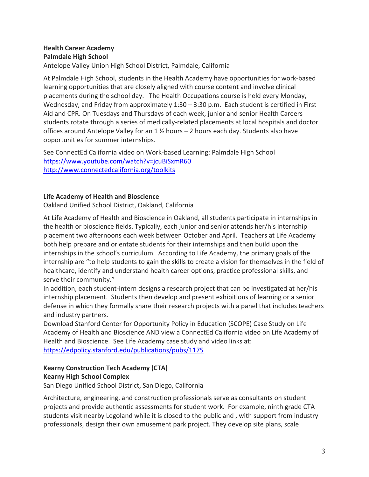# **Health Career Academy Palmdale High School**

Antelope Valley Union High School District, Palmdale, California

At Palmdale High School, students in the Health Academy have opportunities for work-based learning opportunities that are closely aligned with course content and involve clinical placements during the school day. The Health Occupations course is held every Monday, Wednesday, and Friday from approximately  $1:30 - 3:30$  p.m. Each student is certified in First Aid and CPR. On Tuesdays and Thursdays of each week, junior and senior Health Careers students rotate through a series of medically-related placements at local hospitals and doctor offices around Antelope Valley for an  $1$  % hours – 2 hours each day. Students also have opportunities for summer internships.

See ConnectEd California video on Work-based Learning: Palmdale High School https://www.youtube.com/watch?v=jcuBiSxmR60 http://www.connectedcalifornia.org/toolkits

# **Life Academy of Health and Bioscience**

Oakland Unified School District, Oakland, California

At Life Academy of Health and Bioscience in Oakland, all students participate in internships in the health or bioscience fields. Typically, each junior and senior attends her/his internship placement two afternoons each week between October and April. Teachers at Life Academy both help prepare and orientate students for their internships and then build upon the internships in the school's curriculum. According to Life Academy, the primary goals of the internship are "to help students to gain the skills to create a vision for themselves in the field of healthcare, identify and understand health career options, practice professional skills, and serve their community."

In addition, each student-intern designs a research project that can be investigated at her/his internship placement. Students then develop and present exhibitions of learning or a senior defense in which they formally share their research projects with a panel that includes teachers and industry partners.

Download Stanford Center for Opportunity Policy in Education (SCOPE) Case Study on Life Academy of Health and Bioscience AND view a ConnectEd California video on Life Academy of Health and Bioscience. See Life Academy case study and video links at: https://edpolicy.stanford.edu/publications/pubs/1175

#### **Kearny&Construction&Tech&Academy&(CTA) Kearny High School Complex**

San Diego Unified School District, San Diego, California

Architecture, engineering, and construction professionals serve as consultants on student projects and provide authentic assessments for student work. For example, ninth grade CTA students visit nearby Legoland while it is closed to the public and, with support from industry professionals, design their own amusement park project. They develop site plans, scale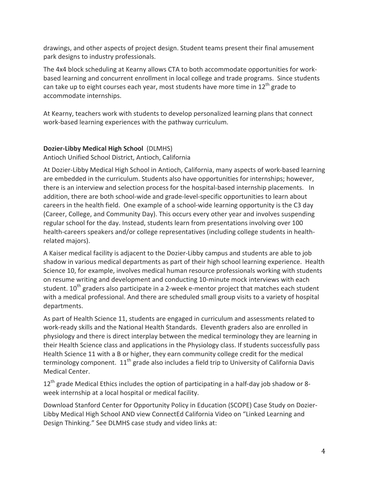drawings, and other aspects of project design. Student teams present their final amusement park designs to industry professionals.

The 4x4 block scheduling at Kearny allows CTA to both accommodate opportunities for workbased learning and concurrent enrollment in local college and trade programs. Since students can take up to eight courses each year, most students have more time in  $12<sup>th</sup>$  grade to accommodate internships.

At Kearny, teachers work with students to develop personalized learning plans that connect work-based learning experiences with the pathway curriculum.

# **Dozier-Libby Medical High School (DLMHS)**

Antioch Unified School District, Antioch, California

At Dozier-Libby Medical High School in Antioch, California, many aspects of work-based learning are embedded in the curriculum. Students also have opportunities for internships; however, there is an interview and selection process for the hospital-based internship placements. In addition, there are both school-wide and grade-level-specific opportunities to learn about careers in the health field. One example of a school-wide learning opportunity is the C3 day (Career, College, and Community Day). This occurs every other year and involves suspending regular school for the day. Instead, students learn from presentations involving over 100 health-careers speakers and/or college representatives (including college students in healthrelated majors).

A Kaiser medical facility is adjacent to the Dozier-Libby campus and students are able to job shadow in various medical departments as part of their high school learning experience. Health Science 10, for example, involves medical human resource professionals working with students on resume writing and development and conducting 10-minute mock interviews with each student.  $10^{th}$  graders also participate in a 2-week e-mentor project that matches each student with a medical professional. And there are scheduled small group visits to a variety of hospital departments.

As part of Health Science 11, students are engaged in curriculum and assessments related to work-ready skills and the National Health Standards. Eleventh graders also are enrolled in physiology and there is direct interplay between the medical terminology they are learning in their Health Science class and applications in the Physiology class. If students successfully pass Health Science 11 with a B or higher, they earn community college credit for the medical terminology component.  $11<sup>th</sup>$  grade also includes a field trip to University of California Davis Medical Center.

12<sup>th</sup> grade Medical Ethics includes the option of participating in a half-day job shadow or 8week internship at a local hospital or medical facility.

Download Stanford Center for Opportunity Policy in Education (SCOPE) Case Study on Dozier-Libby Medical High School AND view ConnectEd California Video on "Linked Learning and Design Thinking." See DLMHS case study and video links at: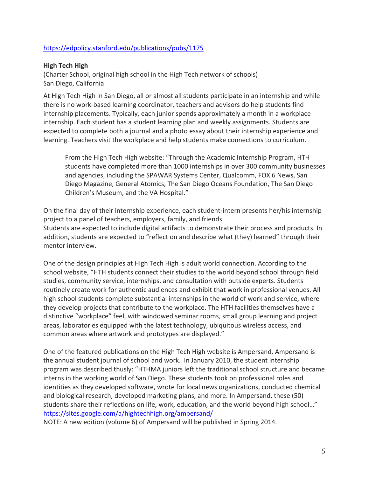# https://edpolicy.stanford.edu/publications/pubs/1175

#### **High Tech High**

(Charter School, original high school in the High Tech network of schools) San Diego, California

At High Tech High in San Diego, all or almost all students participate in an internship and while there is no work-based learning coordinator, teachers and advisors do help students find internship placements. Typically, each junior spends approximately a month in a workplace internship. Each student has a student learning plan and weekly assignments. Students are expected to complete both a journal and a photo essay about their internship experience and learning. Teachers visit the workplace and help students make connections to curriculum.

From the High Tech High website: "Through the Academic Internship Program, HTH students have completed more than 1000 internships in over 300 community businesses and agencies, including the SPAWAR Systems Center, Qualcomm, FOX 6 News, San Diego Magazine, General Atomics, The San Diego Oceans Foundation, The San Diego Children's Museum, and the VA Hospital."

On the final day of their internship experience, each student-intern presents her/his internship project to a panel of teachers, employers, family, and friends. Students are expected to include digital artifacts to demonstrate their process and products. In addition, students are expected to "reflect on and describe what (they) learned" through their mentor interview.

One of the design principles at High Tech High is adult world connection. According to the school website, "HTH students connect their studies to the world beyond school through field studies, community service, internships, and consultation with outside experts. Students routinely create work for authentic audiences and exhibit that work in professional venues. All high school students complete substantial internships in the world of work and service, where they develop projects that contribute to the workplace. The HTH facilities themselves have a distinctive "workplace" feel, with windowed seminar rooms, small group learning and project areas, laboratories equipped with the latest technology, ubiquitous wireless access, and common areas where artwork and prototypes are displayed."

One of the featured publications on the High Tech High website is Ampersand. Ampersand is the annual student journal of school and work. In January 2010, the student internship program was described thusly: "HTHMA juniors left the traditional school structure and became interns in the working world of San Diego. These students took on professional roles and identities as they developed software, wrote for local news organizations, conducted chemical and biological research, developed marketing plans, and more. In Ampersand, these (50) students share their reflections on life, work, education, and the world beyond high school..." https://sites.google.com/a/hightechhigh.org/ampersand/

NOTE: A new edition (volume 6) of Ampersand will be published in Spring 2014.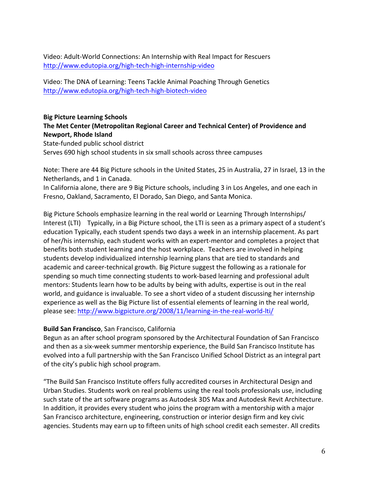Video: Adult-World Connections: An Internship with Real Impact for Rescuers http://www.edutopia.org/high-tech-high-internship-video

Video: The DNA of Learning: Teens Tackle Animal Poaching Through Genetics http://www.edutopia.org/high-tech-high-biotech-video

## **Big Picture Learning Schools** The Met Center (Metropolitan Regional Career and Technical Center) of Providence and **Newport, Rhode Island**

State-funded public school district Serves 690 high school students in six small schools across three campuses

Note: There are 44 Big Picture schools in the United States, 25 in Australia, 27 in Israel, 13 in the Netherlands, and 1 in Canada.

In California alone, there are 9 Big Picture schools, including 3 in Los Angeles, and one each in Fresno, Oakland, Sacramento, El Dorado, San Diego, and Santa Monica.

Big Picture Schools emphasize learning in the real world or Learning Through Internships/ Interest (LTI) Typically, in a Big Picture school, the LTI is seen as a primary aspect of a student's education Typically, each student spends two days a week in an internship placement. As part of her/his internship, each student works with an expert-mentor and completes a project that benefits both student learning and the host workplace. Teachers are involved in helping students develop individualized internship learning plans that are tied to standards and academic and career-technical growth. Big Picture suggest the following as a rationale for spending so much time connecting students to work-based learning and professional adult mentors: Students learn how to be adults by being with adults, expertise is out in the real world, and guidance is invaluable. To see a short video of a student discussing her internship experience as well as the Big Picture list of essential elements of learning in the real world, please see: http://www.bigpicture.org/2008/11/learning-in-the-real-world-lti/

# **Build San Francisco, San Francisco, California**

Begun as an after school program sponsored by the Architectural Foundation of San Francisco and then as a six-week summer mentorship experience, the Build San Francisco Institute has evolved into a full partnership with the San Francisco Unified School District as an integral part of the city's public high school program.

"The Build San Francisco Institute offers fully accredited courses in Architectural Design and Urban Studies. Students work on real problems using the real tools professionals use, including such state of the art software programs as Autodesk 3DS Max and Autodesk Revit Architecture. In addition, it provides every student who joins the program with a mentorship with a major San Francisco architecture, engineering, construction or interior design firm and key civic agencies. Students may earn up to fifteen units of high school credit each semester. All credits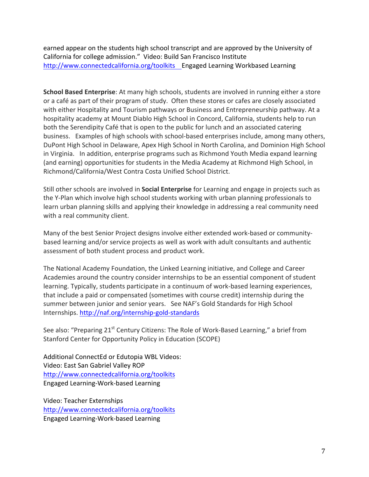earned appear on the students high school transcript and are approved by the University of California for college admission." Video: Build San Francisco Institute http://www.connectedcalifornia.org/toolkits Engaged Learning Workbased Learning

**School Based Enterprise**: At many high schools, students are involved in running either a store or a café as part of their program of study. Often these stores or cafes are closely associated with either Hospitality and Tourism pathways or Business and Entrepreneurship pathway. At a hospitality academy at Mount Diablo High School in Concord, California, students help to run both the Serendipity Café that is open to the public for lunch and an associated catering business. Examples of high schools with school-based enterprises include, among many others, DuPont High School in Delaware, Apex High School in North Carolina, and Dominion High School in Virginia. In addition, enterprise programs such as Richmond Youth Media expand learning (and earning) opportunities for students in the Media Academy at Richmond High School, in Richmond/California/West Contra Costa Unified School District.

Still other schools are involved in **Social Enterprise** for Learning and engage in projects such as the Y-Plan which involve high school students working with urban planning professionals to learn urban planning skills and applying their knowledge in addressing a real community need with a real community client.

Many of the best Senior Project designs involve either extended work-based or communitybased learning and/or service projects as well as work with adult consultants and authentic assessment of both student process and product work.

The National Academy Foundation, the Linked Learning initiative, and College and Career Academies around the country consider internships to be an essential component of student learning. Typically, students participate in a continuum of work-based learning experiences, that include a paid or compensated (sometimes with course credit) internship during the summer between junior and senior years. See NAF's Gold Standards for High School Internships. http://naf.org/internship-gold-standards

See also: "Preparing 21<sup>st</sup> Century Citizens: The Role of Work-Based Learning," a brief from Stanford Center for Opportunity Policy in Education (SCOPE)

Additional ConnectEd or Edutopia WBL Videos: Video: East San Gabriel Valley ROP http://www.connectedcalifornia.org/toolkits Engaged Learning-Work-based Learning

Video: Teacher Externships http://www.connectedcalifornia.org/toolkits Engaged Learning-Work-based Learning